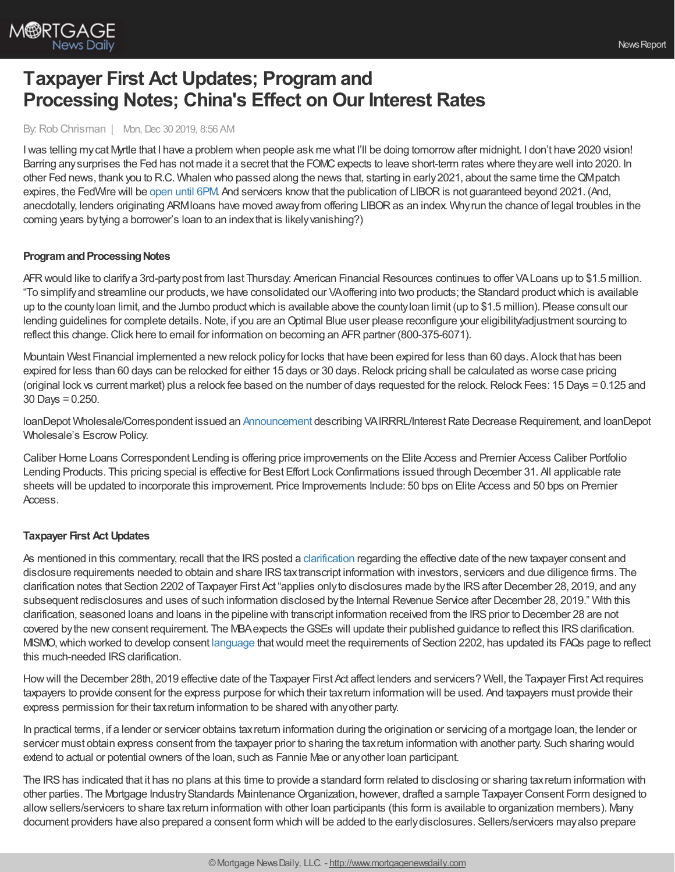

# **Taxpayer First Act Updates; Program and Processing Notes; China's Effect on Our Interest Rates**

#### By:Rob Chrisman | Mon, Dec 30 2019, 8:56 AM

Iwas telling mycat Myrtle that I have a problem when people ask me what I'll be doing tomorrowafter midnight. I don't have 2020 vision! Barring any surprises the Fed has not made it a secret that the FOMC expects to leave short-term rates where they are well into 2020. In other Fed news, thank you to R.C. Whalen who passed along the news that, starting in early2021, about the same time theQMpatch expires, the FedWire will be [open](https://www.federalreserve.gov/newsevents/pressreleases/other20191223a.htm) until 6PM. And servicers know that the publication of LIBOR is not guaranteed beyond 2021. (And, anecdotally, lenders originating ARMIoans have moved away from offering LIBOR as an index. Why run the chance of legal troubles in the coming years bytying a borrower's loan to an indexthat is likelyvanishing?)

### **Program and Processing Notes**

AFRwould like to clarifya 3rd-partypost from last Thursday: American Financial Resources continues to offer VALoans up to \$1.5 million. "To simplifyand streamline our products,we have consolidated our VAoffering into two products; the Standard productwhich is available up to the countyloan limit, and the Jumbo productwhich is available above the countyloan limit (up to \$1.5 million). Please consult our lending guidelines for complete details. Note, if you are an Optimal Blue user please reconfigure your eligibility/adjustment sourcing to reflect this change. Click here to email for information on becoming an AFR partner (800-375-6071).

Mountain West Financial implemented a newrelock policyfor locks that have been expired for less than 60 days. Alock that has been expired for less than 60 days can be relocked for either 15 days or 30 days.Relock pricing shall be calculated as worse case pricing (original lock vs current market) plus a relock fee based on the number of days requested for the relock.Relock Fees: 15 Days = 0.125 and 30 Days = 0.250.

loanDepot Wholesale/Correspondent issued an [Announcement](https://portal.ldwholesale.com/portaldocs/yoda/wholesale/LDW_WNTW_11_04_19.pdf) describing VAIRRRL/Interest Rate Decrease Requirement, and loanDepot Wholesale's EscrowPolicy.

Caliber Home Loans Correspondent Lending is offering price improvements on the Elite Access and Premier Access Caliber Portfolio Lending Products. This pricing special is effective for Best Effort Lock Confirmations issued through December 31. All applicable rate sheets will be updated to incorporate this improvement. Price Improvements Include: 50 bps on Elite Access and 50 bps on Premier Access.

### **Taxpayer First Act Updates**

As mentioned in this commentary, recall that the IRS posted a [clarification](https://www.irs.gov/newsroom/taxpayer-first-act-cybersecurity-and-identity-protections) regarding the effective date of the new taxpayer consent and disclosure requirements needed to obtain and share IRS taxtranscript information with investors, servicers and due diligence firms. The clarification notes that Section 2202 of Taxpayer First Act "applies onlyto disclosures made bythe IRSafter December 28, 2019, and any subsequent redisclosures and uses of such information disclosed bythe Internal Revenue Service after December 28, 2019." With this clarification, seasoned loans and loans in the pipeline with transcript information received from the IRS prior to December 28 are not covered by the new consent requirement. The MBA expects the GSEs will update their published guidance to reflect this IRS clarification. MISMO,which worked to develop consent [language](http://www.mismo.org/standards-and-resources/additional-tools-and-resources/taxpayer-consent-language) thatwould meet the requirements of Section 2202, has updated its FAQs page to reflect this much-needed IRS clarification.

Howwill the December 28th, 2019 effective date of the Taxpayer First Act affect lenders and servicers? Well, the Taxpayer First Act requires taxpayers to provide consent for the express purpose for which their taxreturn information will be used. And taxpayers must provide their express permission for their taxreturn information to be shared with anyother party.

In practical terms, if a lender or servicer obtains taxreturn information during the origination or servicing of a mortgage loan, the lender or servicer must obtain express consent from the taxpayer prior to sharing the tax return information with another party. Such sharing would extend to actual or potential owners of the loan, such as Fannie Mae or anyother loan participant.

The IRShas indicated that it has no plans at this time to provide a standard form related to disclosing or sharing taxreturn information with other parties. The Mortgage Industry Standards Maintenance Organization, however, drafted a sample Taxpayer Consent Form designed to allowsellers/servicers to share taxreturn information with other loan participants (this form is available to organization members). Many document providers have also prepared a consent form which will be added to the earlydisclosures. Sellers/servicers mayalso prepare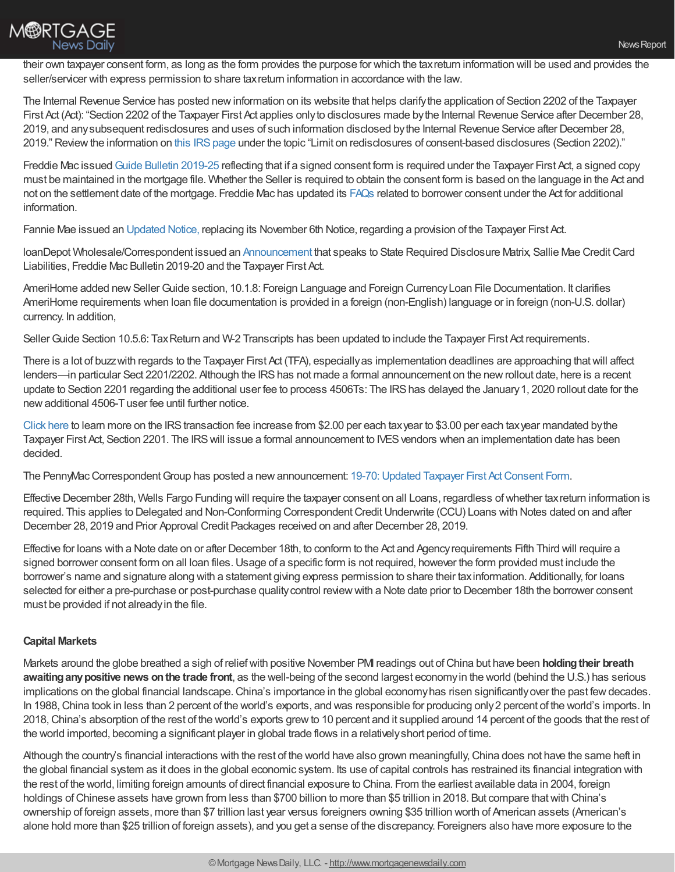

their own taxpayer consent form, as long as the form provides the purpose for which the taxreturn information will be used and provides the seller/servicer with express permission to share tax return information in accordance with the law.

The Internal Revenue Service has posted newinformation on its website that helps clarifythe application of Section 2202 of the Taxpayer First Act (Act): "Section 2202 of the Taxpayer First Act applies onlyto disclosures made bythe Internal Revenue Service after December 28, 2019, and anysubsequent redisclosures and uses of such information disclosed bythe Internal Revenue Service after December 28, 2019." Review the information on this IRS page under the topic "Limit on redisclosures of consent-based disclosures (Section 2202)."

Freddie Mac issued Guide Bulletin [2019-25](http://app.infofreddiemac.com/e/er?s=325135053&lid=6617&elqTrackId=002D17845AB8AAB6691DE33F1CD6EF6A&elq=a7302d296708497181a45a079f06dd86&elqaid=7603&elqat=1) reflecting that if a signed consent form is required under the Taxpayer First Act, a signed copy must be maintained in the mortgage file. Whether the Seller is required to obtain the consent form is based on the language in the Act and not on the settlement date of the mortgage. Freddie Mac has updated its [FAQs](http://app.infofreddiemac.com/e/er?s=325135053&lid=6597&elqTrackId=4E73BD157299D5E8EDCA13F48473460E&elq=a7302d296708497181a45a079f06dd86&elqaid=7603&elqat=1) related to borrower consent under the Act for additional information.

Fannie Mae issued an [Updated](https://www.fanniemae.com/content/announcement/ntce121619.pdf?utm_campaign=ssn-sell2019iss&utm_source=sfsfmc&utm_medium=email&utm_content=eml-noa-121819b-o-n&utm_term=b2b) Notice, replacing its November 6th Notice, regarding a provision of the Taxpayer First Act.

loanDepot Wholesale/Correspondent issued an [Announcement](https://portal.ldwholesale.com/portaldocs/yoda/wholesale/LDW_WNTW_12_23_19.pdf) that speaks to State Required Disclosure Matrix, Sallie Mae CreditCard Liabilities, Freddie Mac Bulletin 2019-20 and the Taxpayer First Act.

AmeriHome added new Seller Guide section, 10.1.8: Foreign Language and Foreign Currency Loan File Documentation. It clarifies AmeriHome requirements when loan file documentation is provided in a foreign (non-English) language or in foreign (non-U.S. dollar) currency. In addition,

Seller Guide Section 10.5.6: Tax Return and W-2 Transcripts has been updated to include the Taxpayer First Act requirements.

There is a lot of buzzwith regards to the Taxpayer First Act (TFA), especiallyas implementation deadlines are approaching thatwill affect lenders—in particular Sect 2201/2202. Although the IRS has not made a formal announcement on the new rollout date, here is a recent update to Section 2201 regarding the additional user fee to process 4506Ts: The IRShas delayed the January1, 2020 rollout date for the new additional 4506-T user fee until further notice.

[Click](https://www.srv1st.com/post/update-to-taxpayer-first-act-hr-3151-section-2201-2202) here to learn more on the IRS transaction fee increase from \$2.00 per each tax year to \$3.00 per each tax year mandated by the Taxpayer First Act, Section 2201. The IRS will issue a formal announcement to IVES vendors when an implementation date has been decided.

The PennyMac Correspondent Group has posted a new announcement: 19-70: Updated Taxpayer First Act Consent Form.

Effective December 28th, Wells Fargo Funding will require the taxpayer consent on all Loans, regardless ofwhether taxreturn information is required. This applies to Delegated and Non-Conforming Correspondent Credit Underwrite (CCU) Loans with Notes dated on and after December 28, 2019 and Prior Approval Credit Packages received on and after December 28, 2019.

Effective for loans with a Note date on or after December 18th, to conform to the Act and Agencyrequirements Fifth Third will require a signed borrower consent form on all loan files. Usage of a specific form is not required, however the form provided must include the borrower's name and signature along with a statement giving express permission to share their taxinformation. Additionally, for loans selected for either a pre-purchase or post-purchase qualitycontrol reviewwith a Note date prior to December 18th the borrower consent must be provided if not alreadyin the file.

## **Capital Markets**

Markets around the globe breathed a sigh of reliefwith positive November PMI readings out ofChina but have been **holdingtheir breath awaitinganypositive news onthe trade front**, as the well-being of the second largest economyin the world (behind the U.S.) has serious implications on the global financial landscape. China's importance in the global economy has risen significantly over the past few decades. In 1988, China took in less than 2 percent of the world's exports, and was responsible for producing only 2 percent of the world's imports. In 2018,China's absorption of the rest of the world's exports grewto 10 percent and it supplied around 14 percent of the goods that the rest of the world imported, becoming a significant player in global trade flows in a relativelyshort period of time.

Although the country's financial interactions with the rest of the world have also grown meaningfully, China does not have the same heft in the global financial system as it does in the global economic system. Its use of capital controls has restrained its financial integration with the rest of the world, limiting foreign amounts of direct financial exposure to China. From the earliest available data in 2004, foreign holdings of Chinese assets have grown from less than \$700 billion to more than \$5 trillion in 2018. But compare that with China's ownership of foreign assets, more than \$7 trillion last year versus foreigners owning \$35 trillion worth of American assets (American's alone hold more than \$25 trillion of foreign assets), and you get a sense of the discrepancy. Foreigners also have more exposure to the